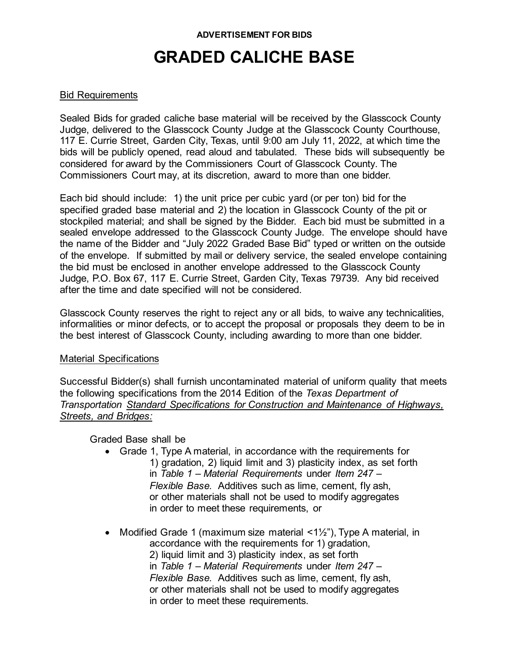#### **ADVERTISEMENT FOR BIDS**

# **GRADED CALICHE BASE**

### Bid Requirements

Sealed Bids for graded caliche base material will be received by the Glasscock County Judge, delivered to the Glasscock County Judge at the Glasscock County Courthouse, 117 E. Currie Street, Garden City, Texas, until 9:00 am July 11, 2022, at which time the bids will be publicly opened, read aloud and tabulated. These bids will subsequently be considered for award by the Commissioners Court of Glasscock County. The Commissioners Court may, at its discretion, award to more than one bidder.

Each bid should include: 1) the unit price per cubic yard (or per ton) bid for the specified graded base material and 2) the location in Glasscock County of the pit or stockpiled material; and shall be signed by the Bidder. Each bid must be submitted in a sealed envelope addressed to the Glasscock County Judge. The envelope should have the name of the Bidder and "July 2022 Graded Base Bid" typed or written on the outside of the envelope. If submitted by mail or delivery service, the sealed envelope containing the bid must be enclosed in another envelope addressed to the Glasscock County Judge, P.O. Box 67, 117 E. Currie Street, Garden City, Texas 79739. Any bid received after the time and date specified will not be considered.

Glasscock County reserves the right to reject any or all bids, to waive any technicalities, informalities or minor defects, or to accept the proposal or proposals they deem to be in the best interest of Glasscock County, including awarding to more than one bidder.

#### Material Specifications

Successful Bidder(s) shall furnish uncontaminated material of uniform quality that meets the following specifications from the 2014 Edition of the *Texas Department of Transportation Standard Specifications for Construction and Maintenance of Highways, Streets, and Bridges:*

Graded Base shall be

- Grade 1, Type A material, in accordance with the requirements for 1) gradation, 2) liquid limit and 3) plasticity index, as set forth in *Table 1 – Material Requirements* under *Item 247 – Flexible Base.* Additives such as lime, cement, fly ash, or other materials shall not be used to modify aggregates in order to meet these requirements, or
- Modified Grade 1 (maximum size material  $\langle 1/2 \rangle$ ), Type A material, in accordance with the requirements for 1) gradation,

2) liquid limit and 3) plasticity index, as set forth in *Table 1 – Material Requirements* under *Item 247 – Flexible Base.* Additives such as lime, cement, fly ash, or other materials shall not be used to modify aggregates in order to meet these requirements.